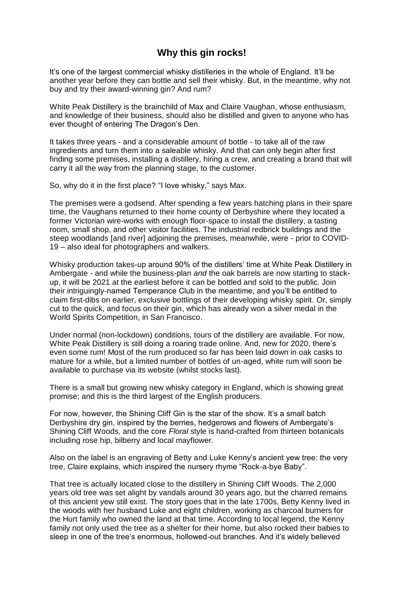## **Why this gin rocks!**

It's one of the largest commercial whisky distilleries in the whole of England. It'll be another year before they can bottle and sell their whisky. But, in the meantime, why not buy and try their award-winning gin? And rum?

White Peak Distillery is the brainchild of Max and Claire Vaughan, whose enthusiasm, and knowledge of their business, should also be distilled and given to anyone who has ever thought of entering The Dragon's Den.

It takes three years - and a considerable amount of bottle - to take all of the raw ingredients and turn them into a saleable whisky. And that can only begin after first finding some premises, installing a distillery, hiring a crew, and creating a brand that will carry it all the way from the planning stage, to the customer.

So, why do it in the first place? "I love whisky," says Max.

The premises were a godsend. After spending a few years hatching plans in their spare time, the Vaughans returned to their home county of Derbyshire where they located a former Victorian wire-works with enough floor-space to install the distillery, a tasting room, small shop, and other visitor facilities. The industrial redbrick buildings and the steep woodlands [and river] adjoining the premises, meanwhile, were - prior to COVID-19 – also ideal for photographers and walkers.

Whisky production takes-up around 90% of the distillers' time at White Peak Distillery in Ambergate - and while the business-plan *and* the oak barrels are now starting to stackup, it will be 2021 at the earliest before it can be bottled and sold to the public. Join their intriguingly-named Temperance Club in the meantime, and you'll be entitled to claim first-dibs on earlier, exclusive bottlings of their developing whisky spirit. Or, simply cut to the quick, and focus on their gin, which has already won a silver medal in the World Spirits Competition, in San Francisco.

Under normal (non-lockdown) conditions, tours of the distillery are available. For now, White Peak Distillery is still doing a roaring trade online. And, new for 2020, there's even some rum! Most of the rum produced so far has been laid down in oak casks to mature for a while, but a limited number of bottles of un-aged, white rum will soon be available to purchase via its website (whilst stocks last).

There is a small but growing new whisky category in England, which is showing great promise; and this is the third largest of the English producers.

For now, however, the Shining Cliff Gin is the star of the show. It's a small batch Derbyshire dry gin, inspired by the berries, hedgerows and flowers of Ambergate's Shining Cliff Woods, and the core *Floral* style is hand-crafted from thirteen botanicals including rose hip, bilberry and local mayflower.

Also on the label is an engraving of Betty and Luke Kenny's ancient yew tree: the very tree, Claire explains, which inspired the nursery rhyme "Rock-a-bye Baby".

That tree is actually located close to the distillery in Shining Cliff Woods. The 2,000 years old tree was set alight by vandals around 30 years ago, but the charred remains of this ancient yew still exist. The story goes that in the late 1700s, Betty Kenny lived in the woods with her husband Luke and eight children, working as charcoal burners for the Hurt family who owned the land at that time. According to local legend, the Kenny family not only used the tree as a shelter for their home, but also rocked their babies to sleep in one of the tree's enormous, hollowed-out branches. And it's widely believed